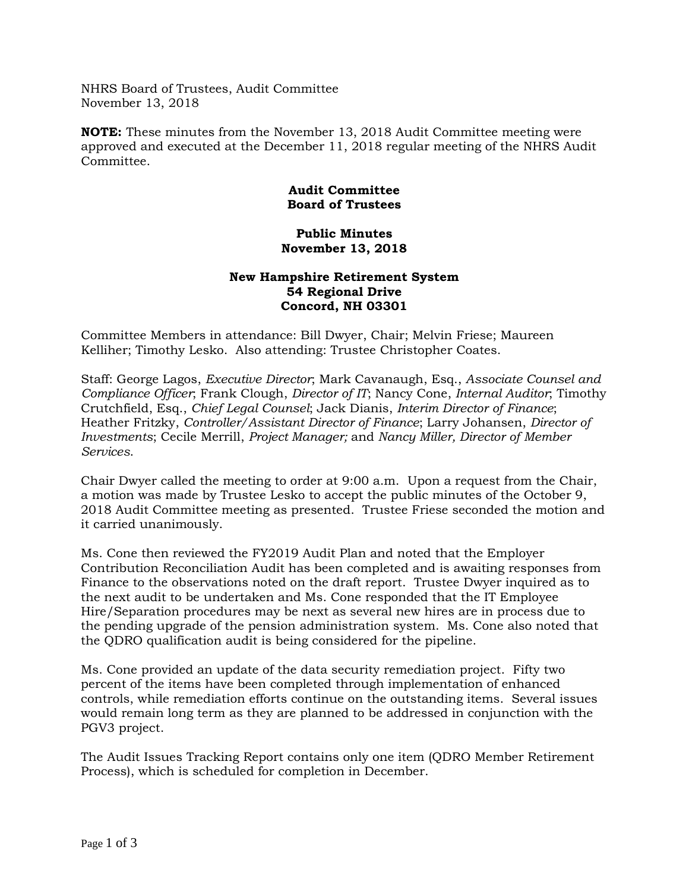NHRS Board of Trustees, Audit Committee November 13, 2018

**NOTE:** These minutes from the November 13, 2018 Audit Committee meeting were approved and executed at the December 11, 2018 regular meeting of the NHRS Audit Committee.

## **Audit Committee Board of Trustees**

## **Public Minutes November 13, 2018**

## **New Hampshire Retirement System 54 Regional Drive Concord, NH 03301**

Committee Members in attendance: Bill Dwyer, Chair; Melvin Friese; Maureen Kelliher; Timothy Lesko. Also attending: Trustee Christopher Coates.

Staff: George Lagos, *Executive Director*; Mark Cavanaugh, Esq., *Associate Counsel and Compliance Officer*; Frank Clough, *Director of IT*; Nancy Cone, *Internal Auditor*; Timothy Crutchfield, Esq., *Chief Legal Counsel*; Jack Dianis, *Interim Director of Finance*; Heather Fritzky, *Controller/Assistant Director of Finance*; Larry Johansen, *Director of Investments*; Cecile Merrill, *Project Manager;* and *Nancy Miller, Director of Member Services*.

Chair Dwyer called the meeting to order at 9:00 a.m. Upon a request from the Chair, a motion was made by Trustee Lesko to accept the public minutes of the October 9, 2018 Audit Committee meeting as presented. Trustee Friese seconded the motion and it carried unanimously.

Ms. Cone then reviewed the FY2019 Audit Plan and noted that the Employer Contribution Reconciliation Audit has been completed and is awaiting responses from Finance to the observations noted on the draft report. Trustee Dwyer inquired as to the next audit to be undertaken and Ms. Cone responded that the IT Employee Hire/Separation procedures may be next as several new hires are in process due to the pending upgrade of the pension administration system. Ms. Cone also noted that the QDRO qualification audit is being considered for the pipeline.

Ms. Cone provided an update of the data security remediation project. Fifty two percent of the items have been completed through implementation of enhanced controls, while remediation efforts continue on the outstanding items. Several issues would remain long term as they are planned to be addressed in conjunction with the PGV3 project.

The Audit Issues Tracking Report contains only one item (QDRO Member Retirement Process), which is scheduled for completion in December.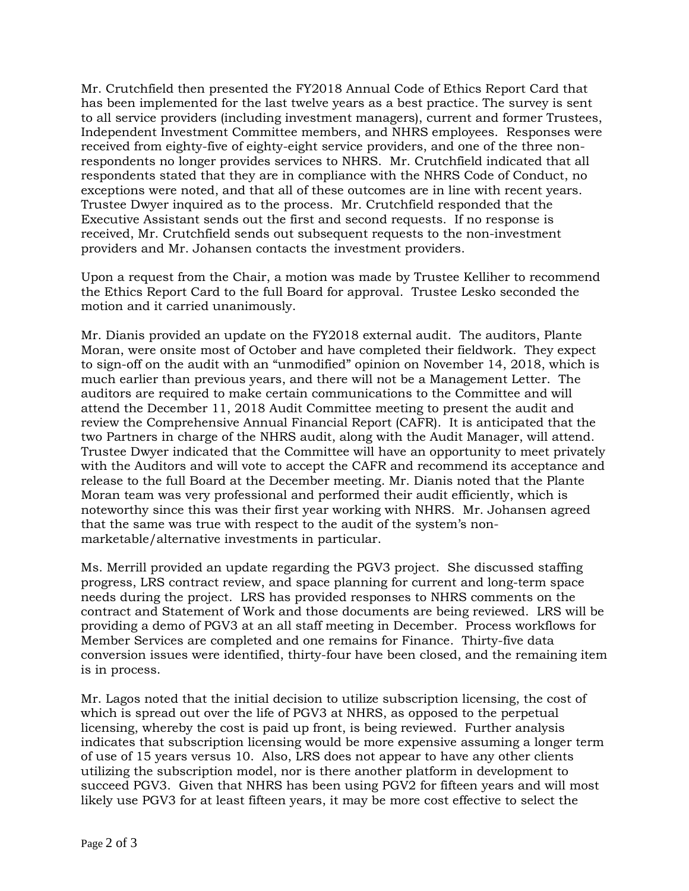Mr. Crutchfield then presented the FY2018 Annual Code of Ethics Report Card that has been implemented for the last twelve years as a best practice. The survey is sent to all service providers (including investment managers), current and former Trustees, Independent Investment Committee members, and NHRS employees. Responses were received from eighty-five of eighty-eight service providers, and one of the three nonrespondents no longer provides services to NHRS. Mr. Crutchfield indicated that all respondents stated that they are in compliance with the NHRS Code of Conduct, no exceptions were noted, and that all of these outcomes are in line with recent years. Trustee Dwyer inquired as to the process. Mr. Crutchfield responded that the Executive Assistant sends out the first and second requests. If no response is received, Mr. Crutchfield sends out subsequent requests to the non-investment providers and Mr. Johansen contacts the investment providers.

Upon a request from the Chair, a motion was made by Trustee Kelliher to recommend the Ethics Report Card to the full Board for approval. Trustee Lesko seconded the motion and it carried unanimously.

Mr. Dianis provided an update on the FY2018 external audit. The auditors, Plante Moran, were onsite most of October and have completed their fieldwork. They expect to sign-off on the audit with an "unmodified" opinion on November 14, 2018, which is much earlier than previous years, and there will not be a Management Letter. The auditors are required to make certain communications to the Committee and will attend the December 11, 2018 Audit Committee meeting to present the audit and review the Comprehensive Annual Financial Report (CAFR). It is anticipated that the two Partners in charge of the NHRS audit, along with the Audit Manager, will attend. Trustee Dwyer indicated that the Committee will have an opportunity to meet privately with the Auditors and will vote to accept the CAFR and recommend its acceptance and release to the full Board at the December meeting. Mr. Dianis noted that the Plante Moran team was very professional and performed their audit efficiently, which is noteworthy since this was their first year working with NHRS. Mr. Johansen agreed that the same was true with respect to the audit of the system's nonmarketable/alternative investments in particular.

Ms. Merrill provided an update regarding the PGV3 project. She discussed staffing progress, LRS contract review, and space planning for current and long-term space needs during the project. LRS has provided responses to NHRS comments on the contract and Statement of Work and those documents are being reviewed. LRS will be providing a demo of PGV3 at an all staff meeting in December. Process workflows for Member Services are completed and one remains for Finance. Thirty-five data conversion issues were identified, thirty-four have been closed, and the remaining item is in process.

Mr. Lagos noted that the initial decision to utilize subscription licensing, the cost of which is spread out over the life of PGV3 at NHRS, as opposed to the perpetual licensing, whereby the cost is paid up front, is being reviewed. Further analysis indicates that subscription licensing would be more expensive assuming a longer term of use of 15 years versus 10. Also, LRS does not appear to have any other clients utilizing the subscription model, nor is there another platform in development to succeed PGV3. Given that NHRS has been using PGV2 for fifteen years and will most likely use PGV3 for at least fifteen years, it may be more cost effective to select the